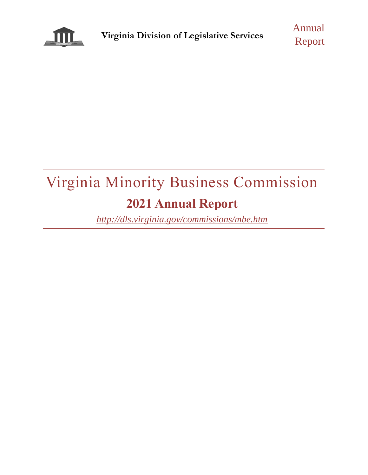

Annual Report

# Virginia Minority Business Commission **2021 Annual Report**

*<http://dls.virginia.gov/commissions/mbe.htm>*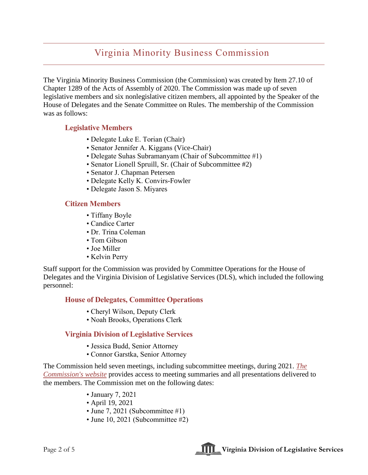## Virginia Minority Business Commission

The Virginia Minority Business Commission (the Commission) was created by Item 27.10 of Chapter 1289 of the Acts of Assembly of 2020. The Commission was made up of seven legislative members and six nonlegislative citizen members, all appointed by the Speaker of the House of Delegates and the Senate Committee on Rules. The membership of the Commission was as follows:

#### **Legislative Members**

- Delegate Luke E. Torian (Chair)
- Senator Jennifer A. Kiggans (Vice-Chair)
- Delegate Suhas Subramanyam (Chair of Subcommittee #1)
- Senator Lionell Spruill, Sr. (Chair of Subcommittee #2)
- Senator J. Chapman Petersen
- Delegate Kelly K. Convirs-Fowler
- Delegate Jason S. Miyares

#### **Citizen Members**

- Tiffany Boyle
- Candice Carter
- Dr. Trina Coleman
- Tom Gibson
- Joe Miller
- Kelvin Perry

Staff support for the Commission was provided by Committee Operations for the House of Delegates and the Virginia Division of Legislative Services (DLS), which included the following personnel:

#### **House of Delegates, Committee Operations**

- Cheryl Wilson, Deputy Clerk
- Noah Brooks, Operations Clerk

### **Virginia Division of Legislative Services**

- Jessica Budd, Senior Attorney
- Connor Garstka, Senior Attorney

The Commission held seven meetings, including subcommittee meetings, during 2021. *[The](http://dls.virginia.gov/commissions/mbe.htm?x=mtg)  [Commission's website](http://dls.virginia.gov/commissions/mbe.htm?x=mtg)* provides access to meeting summaries and all presentations delivered to the members. The Commission met on the following dates:

- January 7, 2021
- April 19, 2021
- June 7, 2021 (Subcommittee #1)
- June 10, 2021 (Subcommittee #2)

Page 2 of 5 **Virginia Division of Legislative Services**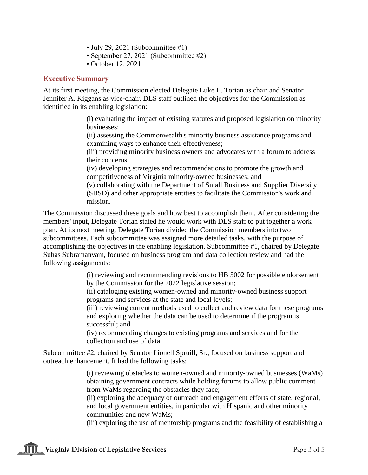- July 29, 2021 (Subcommittee #1)
- September 27, 2021 (Subcommittee #2)
- October 12, 2021

#### **Executive Summary**

At its first meeting, the Commission elected Delegate Luke E. Torian as chair and Senator Jennifer A. Kiggans as vice-chair. DLS staff outlined the objectives for the Commission as identified in its enabling legislation:

> (i) evaluating the impact of existing statutes and proposed legislation on minority businesses;

(ii) assessing the Commonwealth's minority business assistance programs and examining ways to enhance their effectiveness;

(iii) providing minority business owners and advocates with a forum to address their concerns;

(iv) developing strategies and recommendations to promote the growth and competitiveness of Virginia minority-owned businesses; and

(v) collaborating with the Department of Small Business and Supplier Diversity (SBSD) and other appropriate entities to facilitate the Commission's work and mission.

The Commission discussed these goals and how best to accomplish them. After considering the members' input, Delegate Torian stated he would work with DLS staff to put together a work plan. At its next meeting, Delegate Torian divided the Commission members into two subcommittees. Each subcommittee was assigned more detailed tasks, with the purpose of accomplishing the objectives in the enabling legislation. Subcommittee #1, chaired by Delegate Suhas Subramanyam, focused on business program and data collection review and had the following assignments:

> (i) reviewing and recommending revisions to HB 5002 for possible endorsement by the Commission for the 2022 legislative session;

(ii) cataloging existing women-owned and minority-owned business support programs and services at the state and local levels;

(iii) reviewing current methods used to collect and review data for these programs and exploring whether the data can be used to determine if the program is successful; and

(iv) recommending changes to existing programs and services and for the collection and use of data.

Subcommittee #2, chaired by Senator Lionell Spruill, Sr., focused on business support and outreach enhancement. It had the following tasks:

> (i) reviewing obstacles to women-owned and minority-owned businesses (WaMs) obtaining government contracts while holding forums to allow public comment from WaMs regarding the obstacles they face;

(ii) exploring the adequacy of outreach and engagement efforts of state, regional, and local government entities, in particular with Hispanic and other minority communities and new WaMs;

(iii) exploring the use of mentorship programs and the feasibility of establishing a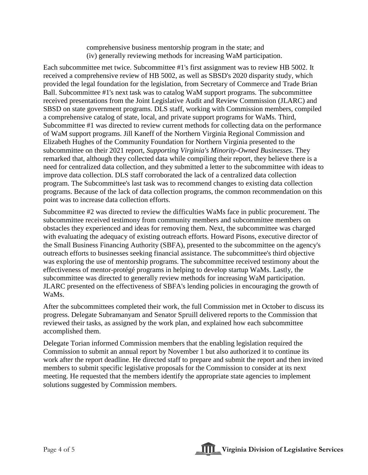comprehensive business mentorship program in the state; and (iv) generally reviewing methods for increasing WaM participation.

Each subcommittee met twice. Subcommittee #1's first assignment was to review HB 5002. It received a comprehensive review of HB 5002, as well as SBSD's 2020 disparity study, which provided the legal foundation for the legislation, from Secretary of Commerce and Trade Brian Ball. Subcommittee #1's next task was to catalog WaM support programs. The subcommittee received presentations from the Joint Legislative Audit and Review Commission (JLARC) and SBSD on state government programs. DLS staff, working with Commission members, compiled a comprehensive catalog of state, local, and private support programs for WaMs. Third, Subcommittee #1 was directed to review current methods for collecting data on the performance of WaM support programs. Jill Kaneff of the Northern Virginia Regional Commission and Elizabeth Hughes of the Community Foundation for Northern Virginia presented to the subcommittee on their 2021 report, *Supporting Virginia's Minority-Owned Businesses*. They remarked that, although they collected data while compiling their report, they believe there is a need for centralized data collection, and they submitted a letter to the subcommittee with ideas to improve data collection. DLS staff corroborated the lack of a centralized data collection program. The Subcommittee's last task was to recommend changes to existing data collection programs. Because of the lack of data collection programs, the common recommendation on this point was to increase data collection efforts.

Subcommittee #2 was directed to review the difficulties WaMs face in public procurement. The subcommittee received testimony from community members and subcommittee members on obstacles they experienced and ideas for removing them. Next, the subcommittee was charged with evaluating the adequacy of existing outreach efforts. Howard Pisons, executive director of the Small Business Financing Authority (SBFA), presented to the subcommittee on the agency's outreach efforts to businesses seeking financial assistance. The subcommittee's third objective was exploring the use of mentorship programs. The subcommittee received testimony about the effectiveness of mentor-protégé programs in helping to develop startup WaMs. Lastly, the subcommittee was directed to generally review methods for increasing WaM participation. JLARC presented on the effectiveness of SBFA's lending policies in encouraging the growth of WaMs.

After the subcommittees completed their work, the full Commission met in October to discuss its progress. Delegate Subramanyam and Senator Spruill delivered reports to the Commission that reviewed their tasks, as assigned by the work plan, and explained how each subcommittee accomplished them.

Delegate Torian informed Commission members that the enabling legislation required the Commission to submit an annual report by November 1 but also authorized it to continue its work after the report deadline. He directed staff to prepare and submit the report and then invited members to submit specific legislative proposals for the Commission to consider at its next meeting. He requested that the members identify the appropriate state agencies to implement solutions suggested by Commission members.